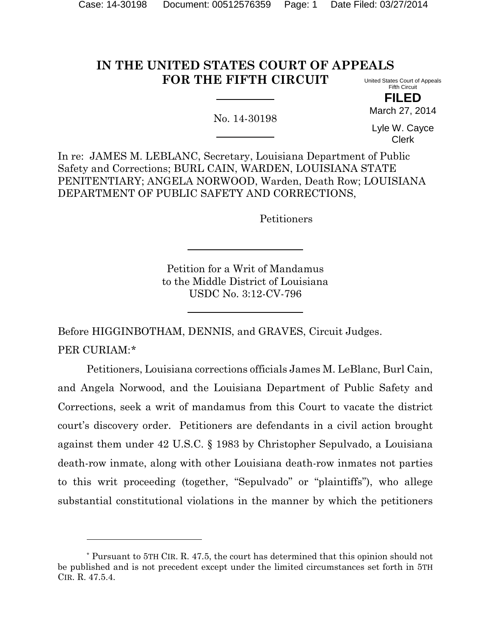# **IN THE UNITED STATES COURT OF APPEALS FOR THE FIFTH CIRCUIT**

No. 14-30198

United States Court of Appeals Fifth Circuit **FILED**

March 27, 2014

Lyle W. Cayce Clerk

In re: JAMES M. LEBLANC, Secretary, Louisiana Department of Public Safety and Corrections; BURL CAIN, WARDEN, LOUISIANA STATE PENITENTIARY; ANGELA NORWOOD, Warden, Death Row; LOUISIANA DEPARTMENT OF PUBLIC SAFETY AND CORRECTIONS,

Petitioners

Petition for a Writ of Mandamus to the Middle District of Louisiana USDC No. 3:12-CV-796

Before HIGGINBOTHAM, DENNIS, and GRAVES, Circuit Judges. PER CURIAM:[\\*](#page-0-0)

Petitioners, Louisiana corrections officials James M. LeBlanc, Burl Cain, and Angela Norwood, and the Louisiana Department of Public Safety and Corrections, seek a writ of mandamus from this Court to vacate the district court's discovery order. Petitioners are defendants in a civil action brought against them under 42 U.S.C. § 1983 by Christopher Sepulvado, a Louisiana death-row inmate, along with other Louisiana death-row inmates not parties to this writ proceeding (together, "Sepulvado" or "plaintiffs"), who allege substantial constitutional violations in the manner by which the petitioners

l

<span id="page-0-0"></span><sup>\*</sup> Pursuant to 5TH CIR. R. 47.5, the court has determined that this opinion should not be published and is not precedent except under the limited circumstances set forth in 5TH CIR. R. 47.5.4.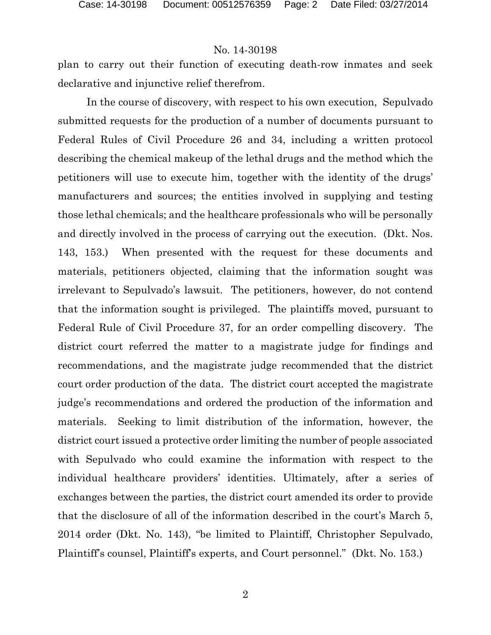plan to carry out their function of executing death-row inmates and seek declarative and injunctive relief therefrom.

In the course of discovery, with respect to his own execution, Sepulvado submitted requests for the production of a number of documents pursuant to Federal Rules of Civil Procedure 26 and 34, including a written protocol describing the chemical makeup of the lethal drugs and the method which the petitioners will use to execute him, together with the identity of the drugs' manufacturers and sources; the entities involved in supplying and testing those lethal chemicals; and the healthcare professionals who will be personally and directly involved in the process of carrying out the execution. (Dkt. Nos. 143, 153.) When presented with the request for these documents and materials, petitioners objected, claiming that the information sought was irrelevant to Sepulvado's lawsuit. The petitioners, however, do not contend that the information sought is privileged. The plaintiffs moved, pursuant to Federal Rule of Civil Procedure 37, for an order compelling discovery. The district court referred the matter to a magistrate judge for findings and recommendations, and the magistrate judge recommended that the district court order production of the data. The district court accepted the magistrate judge's recommendations and ordered the production of the information and materials. Seeking to limit distribution of the information, however, the district court issued a protective order limiting the number of people associated with Sepulvado who could examine the information with respect to the individual healthcare providers' identities. Ultimately, after a series of exchanges between the parties, the district court amended its order to provide that the disclosure of all of the information described in the court's March 5, 2014 order (Dkt. No. 143), "be limited to Plaintiff, Christopher Sepulvado, Plaintiff's counsel, Plaintiff's experts, and Court personnel." (Dkt. No. 153.)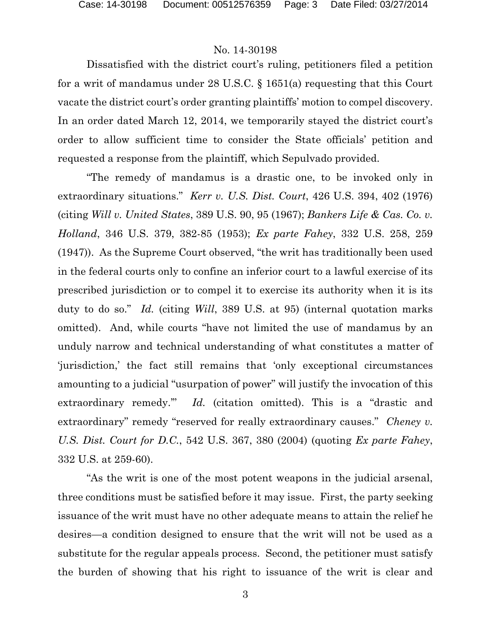Dissatisfied with the district court's ruling, petitioners filed a petition for a writ of mandamus under 28 U.S.C. § 1651(a) requesting that this Court vacate the district court's order granting plaintiffs' motion to compel discovery. In an order dated March 12, 2014, we temporarily stayed the district court's order to allow sufficient time to consider the State officials' petition and requested a response from the plaintiff, which Sepulvado provided.

"The remedy of mandamus is a drastic one, to be invoked only in extraordinary situations." *Kerr v. U.S. Dist. Court*, 426 U.S. 394, 402 (1976) (citing *Will v. United States*, 389 U.S. 90, 95 (1967); *Bankers Life & Cas. Co. v. Holland*, 346 U.S. 379, 382-85 (1953); *Ex parte Fahey*, 332 U.S. 258, 259 (1947)). As the Supreme Court observed, "the writ has traditionally been used in the federal courts only to confine an inferior court to a lawful exercise of its prescribed jurisdiction or to compel it to exercise its authority when it is its duty to do so." *Id.* (citing *Will*, 389 U.S. at 95) (internal quotation marks omitted). And, while courts "have not limited the use of mandamus by an unduly narrow and technical understanding of what constitutes a matter of 'jurisdiction,' the fact still remains that 'only exceptional circumstances amounting to a judicial "usurpation of power" will justify the invocation of this extraordinary remedy.'" *Id.* (citation omitted). This is a "drastic and extraordinary" remedy "reserved for really extraordinary causes." *Cheney v. U.S. Dist. Court for D.C.*, 542 U.S. 367, 380 (2004) (quoting *Ex parte Fahey*, 332 U.S. at 259-60).

"As the writ is one of the most potent weapons in the judicial arsenal, three conditions must be satisfied before it may issue. First, the party seeking issuance of the writ must have no other adequate means to attain the relief he desires—a condition designed to ensure that the writ will not be used as a substitute for the regular appeals process. Second, the petitioner must satisfy the burden of showing that his right to issuance of the writ is clear and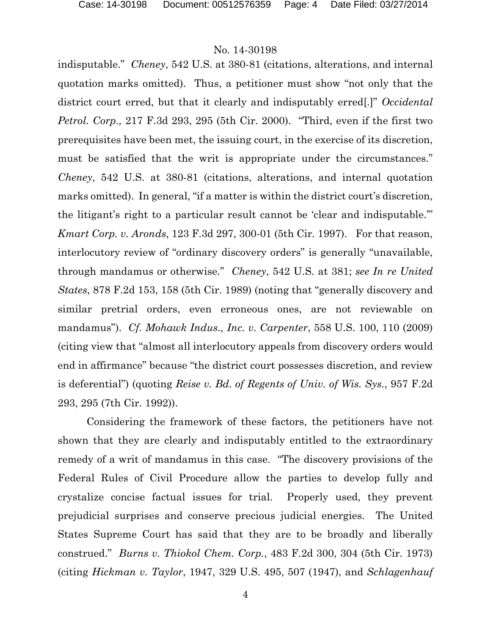indisputable." *Cheney*, 542 U.S. at 380-81 (citations, alterations, and internal quotation marks omitted). Thus, a petitioner must show "not only that the district court erred, but that it clearly and indisputably erred[.]" *Occidental Petrol. Corp.,* 217 F.3d 293, 295 (5th Cir. 2000). "Third, even if the first two prerequisites have been met, the issuing court, in the exercise of its discretion, must be satisfied that the writ is appropriate under the circumstances." *Cheney*, 542 U.S. at 380-81 (citations, alterations, and internal quotation marks omitted). In general, "if a matter is within the district court's discretion, the litigant's right to a particular result cannot be 'clear and indisputable.'" *Kmart Corp. v. Aronds*, 123 F.3d 297, 300-01 (5th Cir. 1997). For that reason, interlocutory review of "ordinary discovery orders" is generally "unavailable, through mandamus or otherwise." *Cheney*, 542 U.S. at 381; *see In re United States*, 878 F.2d 153, 158 (5th Cir. 1989) (noting that "generally discovery and similar pretrial orders, even erroneous ones, are not reviewable on mandamus"). *Cf. Mohawk Indus., Inc. v. Carpenter*, 558 U.S. 100, 110 (2009) (citing view that "almost all interlocutory appeals from discovery orders would end in affirmance" because "the district court possesses discretion, and review is deferential") (quoting *Reise v. Bd. of Regents of Univ. of Wis. Sys.*, 957 F.2d 293, 295 (7th Cir. 1992)).

Considering the framework of these factors, the petitioners have not shown that they are clearly and indisputably entitled to the extraordinary remedy of a writ of mandamus in this case. "The discovery provisions of the Federal Rules of Civil Procedure allow the parties to develop fully and crystalize concise factual issues for trial. Properly used, they prevent prejudicial surprises and conserve precious judicial energies. The United States Supreme Court has said that they are to be broadly and liberally construed." *Burns v. Thiokol Chem. Corp.*, 483 F.2d 300, 304 (5th Cir. 1973) (citing *Hickman v. Taylor*, 1947, 329 U.S. 495, 507 (1947), and *Schlagenhauf*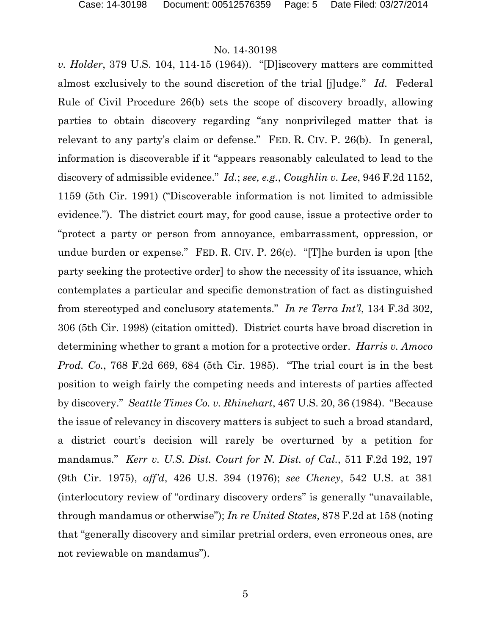*v. Holder*, 379 U.S. 104, 114-15 (1964)). "[D]iscovery matters are committed almost exclusively to the sound discretion of the trial [j]udge." *Id.* Federal Rule of Civil Procedure 26(b) sets the scope of discovery broadly, allowing parties to obtain discovery regarding "any nonprivileged matter that is relevant to any party's claim or defense." FED. R. CIV. P. 26(b). In general, information is discoverable if it "appears reasonably calculated to lead to the discovery of admissible evidence." *Id.*; *see, e.g.*, *Coughlin v. Lee*, 946 F.2d 1152, 1159 (5th Cir. 1991) ("Discoverable information is not limited to admissible evidence."). The district court may, for good cause, issue a protective order to "protect a party or person from annoyance, embarrassment, oppression, or undue burden or expense." FED. R. CIV. P. 26(c). "[T]he burden is upon [the party seeking the protective order] to show the necessity of its issuance, which contemplates a particular and specific demonstration of fact as distinguished from stereotyped and conclusory statements." *In re Terra Int'l*, 134 F.3d 302, 306 (5th Cir. 1998) (citation omitted). District courts have broad discretion in determining whether to grant a motion for a protective order. *Harris v. Amoco Prod. Co.*, 768 F.2d 669, 684 (5th Cir. 1985). "The trial court is in the best position to weigh fairly the competing needs and interests of parties affected by discovery." *Seattle Times Co. v. Rhinehart*, 467 U.S. 20, 36 (1984). "Because the issue of relevancy in discovery matters is subject to such a broad standard, a district court's decision will rarely be overturned by a petition for mandamus." *Kerr v. U.S. Dist. Court for N. Dist. of Cal.*, 511 F.2d 192, 197 (9th Cir. 1975), *aff'd*, 426 U.S. 394 (1976); *see Cheney*, 542 U.S. at 381 (interlocutory review of "ordinary discovery orders" is generally "unavailable, through mandamus or otherwise"); *In re United States*, 878 F.2d at 158 (noting that "generally discovery and similar pretrial orders, even erroneous ones, are not reviewable on mandamus").